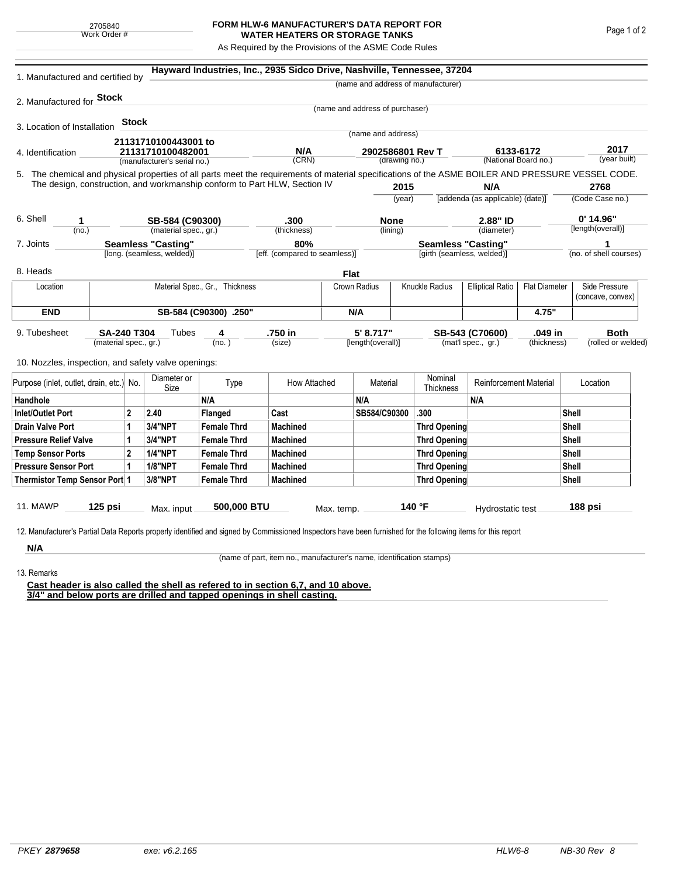## **FORM HLW-6 MANUFACTURER'S DATA REPORT FOR WATER HEATERS OR STORAGE TANKS**

As Required by the Provisions of the ASME Code Rules

| 1. Manufactured and certified by                                                                                                                                                                                                |                                                                      |                |                             |                               | Hayward Industries, Inc., 2935 Sidco Drive, Nashville, Tennessee, 37204 |             |                                   |                                                         |                                            |                                  |                             |                |                                    |  |
|---------------------------------------------------------------------------------------------------------------------------------------------------------------------------------------------------------------------------------|----------------------------------------------------------------------|----------------|-----------------------------|-------------------------------|-------------------------------------------------------------------------|-------------|-----------------------------------|---------------------------------------------------------|--------------------------------------------|----------------------------------|-----------------------------|----------------|------------------------------------|--|
|                                                                                                                                                                                                                                 |                                                                      |                |                             |                               |                                                                         |             |                                   |                                                         | (name and address of manufacturer)         |                                  |                             |                |                                    |  |
| 2. Manufactured for <b>Stock</b>                                                                                                                                                                                                |                                                                      |                |                             |                               |                                                                         |             |                                   |                                                         |                                            |                                  |                             |                |                                    |  |
|                                                                                                                                                                                                                                 |                                                                      |                |                             |                               |                                                                         |             | (name and address of purchaser)   |                                                         |                                            |                                  |                             |                |                                    |  |
| 3. Location of Installation                                                                                                                                                                                                     |                                                                      | Stock          |                             |                               |                                                                         |             | (name and address)                |                                                         |                                            |                                  |                             |                |                                    |  |
|                                                                                                                                                                                                                                 |                                                                      |                | 21131710100443001 to        |                               |                                                                         |             |                                   |                                                         |                                            |                                  |                             |                |                                    |  |
| 4. Identification                                                                                                                                                                                                               |                                                                      |                | 21131710100482001           |                               | N/A<br>(CRN)                                                            |             | 2902586801 Rev T<br>(drawing no.) |                                                         | 6133-6172                                  |                                  | (National Board no.)        |                | 2017<br>(year built)               |  |
|                                                                                                                                                                                                                                 |                                                                      |                | (manufacturer's serial no.) |                               |                                                                         |             |                                   |                                                         |                                            |                                  |                             |                |                                    |  |
| 5. The chemical and physical properties of all parts meet the requirements of material specifications of the ASME BOILER AND PRESSURE VESSEL CODE.<br>The design, construction, and workmanship conform to Part HLW, Section IV |                                                                      |                |                             |                               |                                                                         |             |                                   | 2015                                                    |                                            | N/A                              |                             |                | 2768                               |  |
|                                                                                                                                                                                                                                 |                                                                      |                |                             |                               |                                                                         |             | (year)                            |                                                         |                                            | [addenda (as applicable) (date)] |                             |                | (Code Case no.)                    |  |
|                                                                                                                                                                                                                                 |                                                                      |                |                             |                               |                                                                         |             |                                   |                                                         |                                            |                                  |                             |                |                                    |  |
| 6. Shell<br>1                                                                                                                                                                                                                   |                                                                      |                | SB-584 (C90300)             |                               | .300                                                                    |             | <b>None</b>                       |                                                         |                                            | 2.88" ID                         |                             | 0' 14.96"      |                                    |  |
| (no.)                                                                                                                                                                                                                           |                                                                      |                | (material spec., gr.)       |                               | (thickness)                                                             |             |                                   | (lining)                                                |                                            | (diameter)                       |                             |                | [length(overall)]                  |  |
|                                                                                                                                                                                                                                 | <b>Seamless "Casting"</b><br>7. Joints<br>[long. (seamless, welded)] |                |                             |                               | 80%<br>[eff. (compared to seamless)]                                    |             |                                   | <b>Seamless "Casting"</b><br>[girth (seamless, welded)] |                                            |                                  | 1<br>(no. of shell courses) |                |                                    |  |
|                                                                                                                                                                                                                                 |                                                                      |                |                             |                               |                                                                         |             |                                   |                                                         |                                            |                                  |                             |                |                                    |  |
| 8. Heads                                                                                                                                                                                                                        |                                                                      |                |                             |                               |                                                                         | <b>Flat</b> |                                   |                                                         |                                            |                                  |                             |                |                                    |  |
| Location                                                                                                                                                                                                                        | Material Spec., Gr., Thickness                                       |                |                             |                               |                                                                         |             | Knuckle Radius<br>Crown Radius    |                                                         |                                            | <b>Elliptical Ratio</b>          | <b>Flat Diameter</b>        |                | Side Pressure<br>(concave, convex) |  |
| <b>END</b>                                                                                                                                                                                                                      | SB-584 (C90300) .250"                                                |                |                             |                               |                                                                         |             | N/A                               |                                                         |                                            |                                  | 4.75"                       |                |                                    |  |
| 9. Tubesheet<br><b>SA-240 T304</b>                                                                                                                                                                                              |                                                                      |                | Tubes                       | 4                             | .750 in                                                                 |             | 5' 8.717"                         |                                                         | .049 in<br>SB-543 (C70600)                 |                                  |                             | <b>Both</b>    |                                    |  |
|                                                                                                                                                                                                                                 | (material spec., gr.)                                                |                |                             | (no. )                        | (size)                                                                  |             | [length(overall)]                 |                                                         |                                            | (mat'l spec., gr.)               | (thickness)                 |                | (rolled or welded)                 |  |
| 10. Nozzles, inspection, and safety valve openings:                                                                                                                                                                             |                                                                      |                |                             |                               |                                                                         |             |                                   |                                                         |                                            |                                  |                             |                |                                    |  |
| Purpose (inlet, outlet, drain, etc.) No.                                                                                                                                                                                        |                                                                      |                | Diameter or                 | Type                          | How Attached                                                            |             | Material                          |                                                         | Nominal                                    | <b>Reinforcement Material</b>    |                             |                | Location                           |  |
|                                                                                                                                                                                                                                 |                                                                      |                | Size                        |                               |                                                                         |             |                                   |                                                         | Thickness                                  |                                  |                             |                |                                    |  |
| Handhole                                                                                                                                                                                                                        |                                                                      |                |                             | N/A                           |                                                                         |             | N/A                               |                                                         | .300                                       | N/A                              |                             |                |                                    |  |
| $\overline{2}$<br><b>Inlet/Outlet Port</b>                                                                                                                                                                                      |                                                                      |                | 2.40<br>3/4"NPT             | Flanged<br><b>Female Thrd</b> | Cast                                                                    |             | SB584/C90300                      |                                                         |                                            |                                  |                             | Shell<br>Shell |                                    |  |
| <b>Drain Valve Port</b><br>1<br>1                                                                                                                                                                                               |                                                                      |                | 3/4"NPT                     | <b>Female Thrd</b>            | <b>Machined</b>                                                         |             |                                   |                                                         | <b>Thrd Opening</b><br><b>Thrd Opening</b> |                                  |                             | Shell          |                                    |  |
| <b>Pressure Relief Valve</b>                                                                                                                                                                                                    |                                                                      | $\overline{2}$ | <b>1/4"NPT</b>              | <b>Female Thrd</b>            | <b>Machined</b>                                                         |             |                                   |                                                         |                                            |                                  |                             |                |                                    |  |
| <b>Temp Sensor Ports</b><br><b>Pressure Sensor Port</b><br>1                                                                                                                                                                    |                                                                      |                | <b>1/8"NPT</b>              | <b>Female Thrd</b>            | <b>Machined</b><br><b>Machined</b>                                      |             |                                   | <b>Thrd Opening</b><br>Thrd Opening                     |                                            |                                  |                             | Shell<br>Shell |                                    |  |
| Thermistor Temp Sensor Port 1                                                                                                                                                                                                   |                                                                      |                | 3/8"NPT                     | <b>Female Thrd</b>            | <b>Machined</b>                                                         |             |                                   | Thrd Opening                                            |                                            |                                  | Shell                       |                |                                    |  |
|                                                                                                                                                                                                                                 |                                                                      |                |                             |                               |                                                                         |             |                                   |                                                         |                                            |                                  |                             |                |                                    |  |
| 11. MAWP                                                                                                                                                                                                                        | $125$ psi                                                            |                | Max. input                  | 500,000 BTU                   | Max. temp.                                                              |             | 140 °F                            |                                                         |                                            | Hydrostatic test                 |                             | 188 psi        |                                    |  |
|                                                                                                                                                                                                                                 |                                                                      |                |                             |                               |                                                                         |             |                                   |                                                         |                                            |                                  |                             |                |                                    |  |
| 12. Manufacturer's Partial Data Reports properly identified and signed by Commissioned Inspectors have been furnished for the following items for this report                                                                   |                                                                      |                |                             |                               |                                                                         |             |                                   |                                                         |                                            |                                  |                             |                |                                    |  |
| N/A                                                                                                                                                                                                                             |                                                                      |                |                             |                               |                                                                         |             |                                   |                                                         |                                            |                                  |                             |                |                                    |  |

(name of part, item no., manufacturer's name, identification stamps)

13. Remarks

**Cast header is also called the shell as refered to in section 6,7, and 10 above. 3/4" and below ports are drilled and tapped openings in shell casting.**